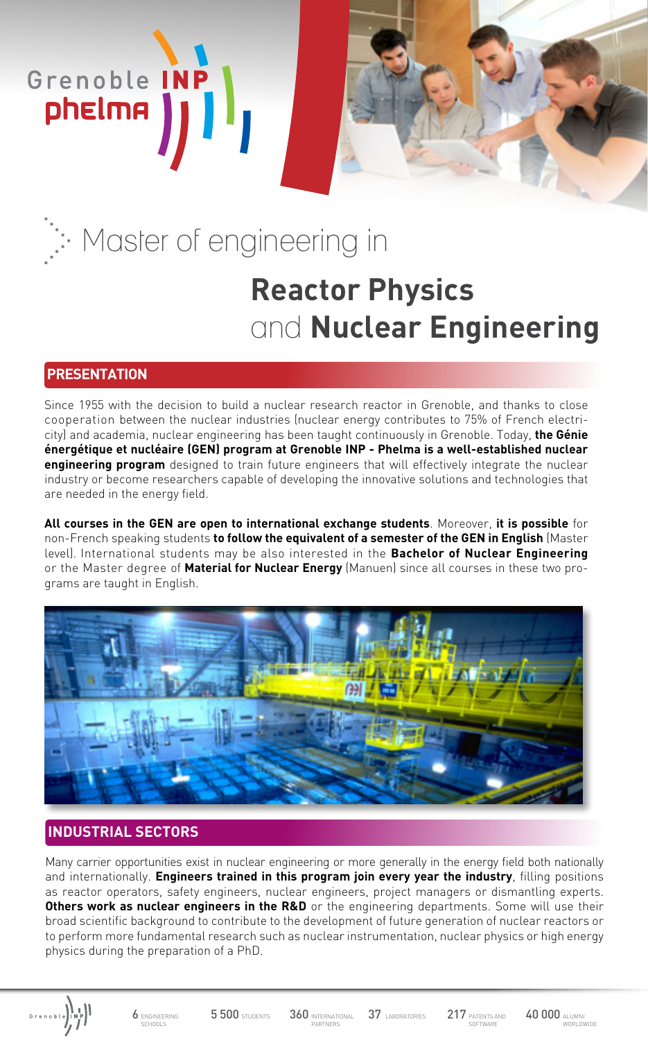# **Reactor Physics**  and **Nuclear Engineering** Master of engineering in

## **PRESENTATION**

Grenoble INP

phelma

Since 1955 with the decision to build a nuclear research reactor in Grenoble, and thanks to close cooperation between the nuclear industries (nuclear energy contributes to 75% of French electricity) and academia, nuclear engineering has been taught continuously in Grenoble. Today, **the Génie énergétique et nucléaire (GEN) program at Grenoble INP - Phelma is a well-established nuclear engineering program** designed to train future engineers that will effectively integrate the nuclear industry or become researchers capable of developing the innovative solutions and technologies that are needed in the energy field.

**All courses in the GEN are open to international exchange students**. Moreover, **it is possible** for non-French speaking students **to follow the equivalent of a semester of the GEN in English** (Master level). International students may be also interested in the **Bachelor of Nuclear Engineering** or the Master degree of **Material for Nuclear Energy** (Manuen) since all courses in these two programs are taught in English.



# **INDUSTRIAL SECTORS**

Many carrier opportunities exist in nuclear engineering or more generally in the energy field both nationally and internationally. **Engineers trained in this program join every year the industry**, filling positions as reactor operators, safety engineers, nuclear engineers, project managers or dismantling experts. **Others work as nuclear engineers in the R&D** or the engineering departments. Some will use their broad scientific background to contribute to the development of future generation of nuclear reactors or to perform more fundamental research such as nuclear instrumentation, nuclear physics or high energy physics during the preparation of a PhD.

Grenoble (NP)

6 ENGINEERING SCHOOLS

5 500 STUDENTS 360 INTERNATIONAL 37 LABORATORIES 217 PATENTS AND 40 000 ALUMN PARTNERS

217 PATENTS AND

WORLDWIDE